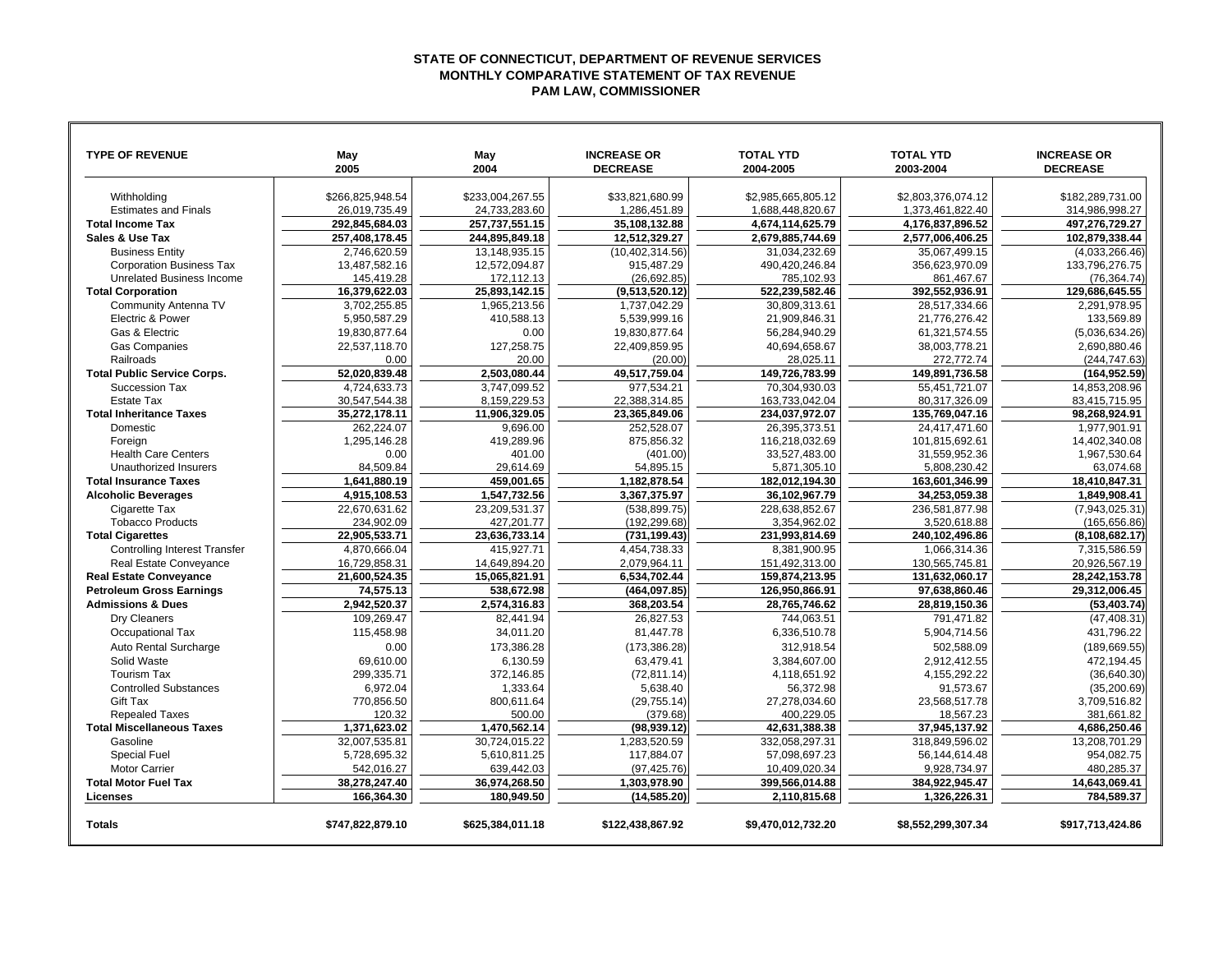## **STATE OF CONNECTICUT, DEPARTMENT OF REVENUE SERVICES MONTHLY COMPARATIVE STATEMENT OF TAX REVENUE PAM LAW, COMMISSIONER**

| <b>TYPE OF REVENUE</b>               | May<br>2005      | May<br>2004      | <b>INCREASE OR</b><br><b>DECREASE</b> | <b>TOTAL YTD</b><br>2004-2005 | <b>TOTAL YTD</b><br>2003-2004 | <b>INCREASE OR</b><br><b>DECREASE</b> |
|--------------------------------------|------------------|------------------|---------------------------------------|-------------------------------|-------------------------------|---------------------------------------|
|                                      |                  |                  |                                       |                               |                               |                                       |
| Withholding                          | \$266,825,948.54 | \$233,004,267.55 | \$33,821,680.99                       | \$2,985,665,805.12            | \$2,803,376,074.12            | \$182,289,731.00                      |
| <b>Estimates and Finals</b>          | 26,019,735.49    | 24,733,283.60    | 1,286,451.89                          | 1,688,448,820.67              | 1,373,461,822.40              | 314,986,998.27                        |
| <b>Total Income Tax</b>              | 292,845,684.03   | 257,737,551.15   | 35,108,132.88                         | 4,674,114,625.79              | 4,176,837,896.52              | 497,276,729.27                        |
| Sales & Use Tax                      | 257,408,178.45   | 244,895,849.18   | 12,512,329.27                         | 2,679,885,744.69              | 2,577,006,406.25              | 102,879,338.44                        |
| <b>Business Entity</b>               | 2,746,620.59     | 13,148,935.15    | (10, 402, 314.56)                     | 31,034,232.69                 | 35.067.499.15                 | (4,033,266.46)                        |
| <b>Corporation Business Tax</b>      | 13,487,582.16    | 12,572,094.87    | 915,487.29                            | 490,420,246.84                | 356,623,970.09                | 133,796,276.75                        |
| Unrelated Business Income            | 145,419.28       | 172,112.13       | (26, 692.85)                          | 785,102.93                    | 861,467.67                    | (76, 364.74)                          |
| <b>Total Corporation</b>             | 16,379,622.03    | 25,893,142.15    | (9,513,520.12)                        | 522,239,582.46                | 392,552,936.91                | 129,686,645.55                        |
| <b>Community Antenna TV</b>          | 3,702,255.85     | 1,965,213.56     | 1,737,042.29                          | 30,809,313.61                 | 28,517,334.66                 | 2,291,978.95                          |
| Electric & Power                     | 5,950,587.29     | 410,588.13       | 5.539.999.16                          | 21.909.846.31                 | 21.776.276.42                 | 133,569.89                            |
| Gas & Electric                       | 19.830.877.64    | 0.00             | 19.830.877.64                         | 56,284,940.29                 | 61,321,574.55                 | (5.036.634.26)                        |
| <b>Gas Companies</b>                 | 22,537,118.70    | 127,258.75       | 22,409,859.95                         | 40,694,658.67                 | 38,003,778.21                 | 2,690,880.46                          |
| Railroads                            | 0.00             | 20.00            | (20.00)                               | 28,025.11                     | 272,772.74                    | (244, 747.63)                         |
| <b>Total Public Service Corps.</b>   | 52,020,839.48    | 2.503.080.44     | 49,517,759.04                         | 149,726,783.99                | 149,891,736.58                | (164, 952.59)                         |
| Succession Tax                       | 4.724.633.73     | 3.747.099.52     | 977,534.21                            | 70.304.930.03                 | 55,451,721.07                 | 14,853,208.96                         |
| <b>Estate Tax</b>                    | 30,547,544.38    | 8.159.229.53     | 22.388.314.85                         | 163,733,042.04                | 80.317.326.09                 | 83.415.715.95                         |
| <b>Total Inheritance Taxes</b>       | 35,272,178.11    | 11,906,329.05    | 23,365,849.06                         | 234,037,972.07                | 135,769,047.16                | 98,268,924.91                         |
| Domestic                             | 262,224.07       | 9,696.00         | 252,528.07                            | 26,395,373.51                 | 24,417,471.60                 | 1,977,901.91                          |
| Foreign                              | 1,295,146.28     | 419,289.96       | 875,856.32                            | 116,218,032.69                | 101,815,692.61                | 14,402,340.08                         |
| <b>Health Care Centers</b>           | 0.00             | 401.00           | (401.00)                              | 33,527,483.00                 | 31,559,952.36                 | 1,967,530.64                          |
| Unauthorized Insurers                | 84,509.84        | 29.614.69        | 54,895.15                             | 5,871,305.10                  | 5,808,230.42                  | 63.074.68                             |
| <b>Total Insurance Taxes</b>         | 1,641,880.19     | 459,001.65       | 1,182,878.54                          | 182,012,194.30                | 163,601,346.99                | 18,410,847.31                         |
| <b>Alcoholic Beverages</b>           | 4,915,108.53     | 1,547,732.56     | 3,367,375.97                          | 36,102,967.79                 | 34,253,059.38                 | 1,849,908.41                          |
| Cigarette Tax                        | 22.670.631.62    | 23,209,531.37    | (538, 899.75)                         | 228.638.852.67                | 236.581.877.98                | (7,943,025.31)                        |
| <b>Tobacco Products</b>              | 234,902.09       | 427,201.77       | (192, 299.68)                         | 3,354,962.02                  | 3,520,618.88                  | (165, 656.86)                         |
| <b>Total Cigarettes</b>              | 22,905,533.71    | 23.636.733.14    | (731, 199.43)                         | 231.993.814.69                | 240.102.496.86                | (8, 108, 682.17)                      |
| <b>Controlling Interest Transfer</b> | 4.870.666.04     | 415.927.71       | 4,454,738.33                          | 8,381,900.95                  | 1,066,314.36                  | 7,315,586.59                          |
| Real Estate Conveyance               | 16,729,858.31    | 14,649,894.20    | 2,079,964.11                          | 151,492,313.00                | 130,565,745.81                | 20,926,567.19                         |
| <b>Real Estate Conveyance</b>        | 21,600,524.35    | 15,065,821.91    | 6,534,702.44                          | 159,874,213.95                | 131,632,060.17                | 28,242,153.78                         |
| <b>Petroleum Gross Earnings</b>      | 74,575.13        | 538,672.98       | (464, 097.85)                         | 126,950,866.91                | 97,638,860.46                 | 29,312,006.45                         |
| <b>Admissions &amp; Dues</b>         | 2.942.520.37     | 2,574,316.83     | 368.203.54                            | 28,765,746.62                 | 28,819,150.36                 | (53, 403.74)                          |
| Dry Cleaners                         | 109.269.47       | 82.441.94        | 26.827.53                             | 744.063.51                    | 791.471.82                    | (47.408.31)                           |
| Occupational Tax                     | 115,458.98       | 34,011.20        | 81,447.78                             | 6,336,510.78                  | 5,904,714.56                  | 431,796.22                            |
| Auto Rental Surcharge                | 0.00             | 173,386.28       | (173, 386.28)                         | 312,918.54                    | 502,588.09                    | (189, 669.55)                         |
| Solid Waste                          | 69,610.00        | 6,130.59         | 63,479.41                             | 3,384,607.00                  | 2,912,412.55                  | 472,194.45                            |
| <b>Tourism Tax</b>                   | 299,335.71       | 372,146.85       | (72, 811.14)                          | 4,118,651.92                  | 4,155,292.22                  | (36,640.30)                           |
| <b>Controlled Substances</b>         | 6.972.04         | 1.333.64         | 5.638.40                              | 56.372.98                     | 91.573.67                     | (35, 200.69)                          |
| <b>Gift Tax</b>                      | 770,856.50       | 800,611.64       | (29, 755.14)                          | 27,278,034.60                 | 23,568,517.78                 | 3,709,516.82                          |
| <b>Repealed Taxes</b>                | 120.32           | 500.00           | (379.68)                              | 400,229.05                    | 18,567.23                     | 381,661.82                            |
| <b>Total Miscellaneous Taxes</b>     | 1,371,623.02     | 1,470,562.14     | (98, 939.12)                          | 42,631,388.38                 | 37,945,137.92                 | 4,686,250.46                          |
| Gasoline                             | 32.007.535.81    | 30.724.015.22    | 1.283.520.59                          | 332.058.297.31                | 318.849.596.02                | 13.208.701.29                         |
| <b>Special Fuel</b>                  | 5,728,695.32     | 5,610,811.25     | 117,884.07                            | 57,098,697.23                 | 56,144,614.48                 | 954,082.75                            |
| <b>Motor Carrier</b>                 | 542,016.27       | 639,442.03       | (97, 425.76)                          | 10,409,020.34                 | 9,928,734.97                  | 480,285.37                            |
| <b>Total Motor Fuel Tax</b>          | 38,278,247.40    | 36,974,268.50    | 1,303,978.90                          | 399,566,014.88                | 384,922,945.47                | 14,643,069.41                         |
| Licenses                             | 166.364.30       | 180.949.50       | (14.585.20)                           | 2.110.815.68                  | 1.326.226.31                  | 784.589.37                            |
|                                      |                  |                  |                                       |                               |                               |                                       |
| <b>Totals</b>                        | \$747,822,879.10 | \$625.384.011.18 | \$122.438.867.92                      | \$9.470.012.732.20            | \$8.552.299.307.34            | \$917,713,424.86                      |